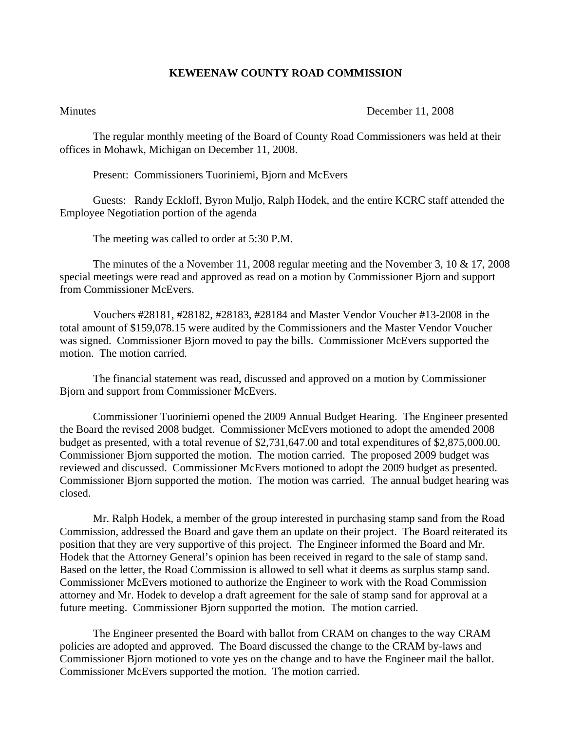## **KEWEENAW COUNTY ROAD COMMISSION**

## Minutes December 11, 2008

The regular monthly meeting of the Board of County Road Commissioners was held at their offices in Mohawk, Michigan on December 11, 2008.

Present: Commissioners Tuoriniemi, Bjorn and McEvers

Guests: Randy Eckloff, Byron Muljo, Ralph Hodek, and the entire KCRC staff attended the Employee Negotiation portion of the agenda

The meeting was called to order at 5:30 P.M.

 The minutes of the a November 11, 2008 regular meeting and the November 3, 10 & 17, 2008 special meetings were read and approved as read on a motion by Commissioner Bjorn and support from Commissioner McEvers.

 Vouchers #28181, #28182, #28183, #28184 and Master Vendor Voucher #13-2008 in the total amount of \$159,078.15 were audited by the Commissioners and the Master Vendor Voucher was signed. Commissioner Bjorn moved to pay the bills. Commissioner McEvers supported the motion. The motion carried.

 The financial statement was read, discussed and approved on a motion by Commissioner Bjorn and support from Commissioner McEvers.

Commissioner Tuoriniemi opened the 2009 Annual Budget Hearing. The Engineer presented the Board the revised 2008 budget. Commissioner McEvers motioned to adopt the amended 2008 budget as presented, with a total revenue of \$2,731,647.00 and total expenditures of \$2,875,000.00. Commissioner Bjorn supported the motion. The motion carried. The proposed 2009 budget was reviewed and discussed. Commissioner McEvers motioned to adopt the 2009 budget as presented. Commissioner Bjorn supported the motion. The motion was carried. The annual budget hearing was closed.

Mr. Ralph Hodek, a member of the group interested in purchasing stamp sand from the Road Commission, addressed the Board and gave them an update on their project. The Board reiterated its position that they are very supportive of this project. The Engineer informed the Board and Mr. Hodek that the Attorney General's opinion has been received in regard to the sale of stamp sand. Based on the letter, the Road Commission is allowed to sell what it deems as surplus stamp sand. Commissioner McEvers motioned to authorize the Engineer to work with the Road Commission attorney and Mr. Hodek to develop a draft agreement for the sale of stamp sand for approval at a future meeting. Commissioner Bjorn supported the motion. The motion carried.

The Engineer presented the Board with ballot from CRAM on changes to the way CRAM policies are adopted and approved. The Board discussed the change to the CRAM by-laws and Commissioner Bjorn motioned to vote yes on the change and to have the Engineer mail the ballot. Commissioner McEvers supported the motion. The motion carried.